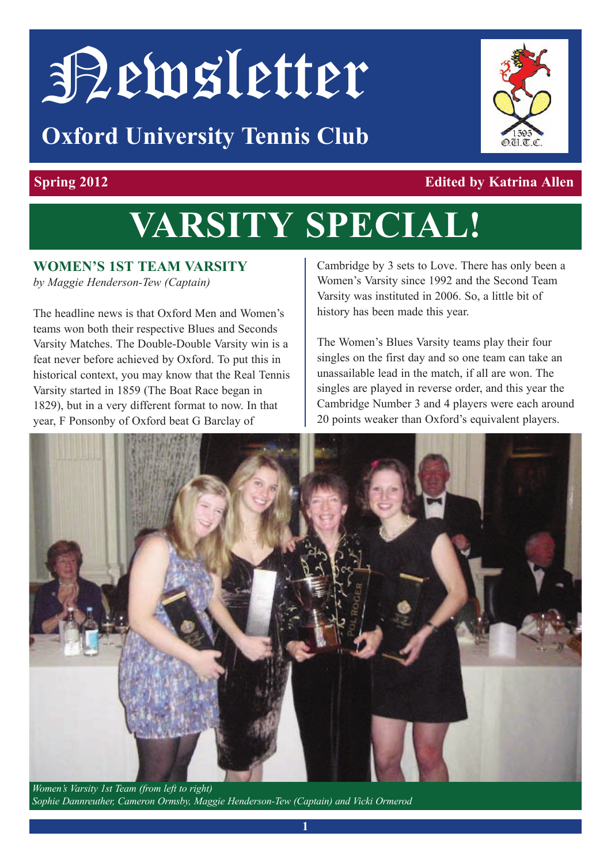# Newsletter

### **Oxford University Tennis Club**



#### **spring 2012 edited by Katrina Allen**

## **Varsity special!**

#### **WOmen's 1st team Varsity**

*by Maggie Henderson-Tew (Captain)*

The headline news is that Oxford Men and Women's teams won both their respective Blues and Seconds Varsity Matches. The Double-Double Varsity win is a feat never before achieved by Oxford. To put this in historical context, you may know that the Real Tennis Varsity started in 1859 (The Boat Race began in 1829), but in a very different format to now. In that year, F Ponsonby of Oxford beat G Barclay of

Cambridge by 3 sets to Love. There has only been a Women's Varsity since 1992 and the Second Team Varsity was instituted in 2006. So, a little bit of history has been made this year.

The Women's Blues Varsity teams play their four singles on the first day and so one team can take an unassailable lead in the match, if all are won. The singles are played in reverse order, and this year the Cambridge Number 3 and 4 players were each around 20 points weaker than Oxford's equivalent players.



*Women's Varsity 1st Team (from left to right) Sophie Dannreuther, Cameron Ormsby, Maggie Henderson-Tew (Captain) and Vicki Ormerod*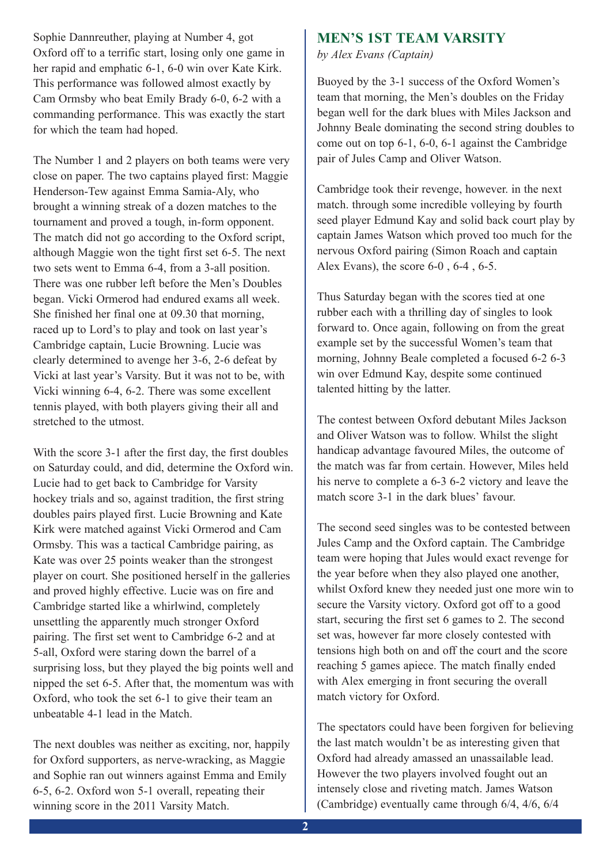Sophie Dannreuther, playing at Number 4, got Oxford off to a terrific start, losing only one game in her rapid and emphatic 6-1, 6-0 win over Kate Kirk. This performance was followed almost exactly by Cam Ormsby who beat Emily Brady 6-0, 6-2 with a commanding performance. This was exactly the start for which the team had hoped.

The Number 1 and 2 players on both teams were very close on paper. The two captains played first: Maggie Henderson-Tew against Emma Samia-Aly, who brought a winning streak of a dozen matches to the tournament and proved a tough, in-form opponent. The match did not go according to the Oxford script, although Maggie won the tight first set 6-5. The next two sets went to Emma 6-4, from a 3-all position. There was one rubber left before the Men's Doubles began. Vicki Ormerod had endured exams all week. She finished her final one at 09.30 that morning, raced up to Lord's to play and took on last year's Cambridge captain, Lucie Browning. Lucie was clearly determined to avenge her 3-6, 2-6 defeat by Vicki at last year's Varsity. But it was not to be, with Vicki winning 6-4, 6-2. There was some excellent tennis played, with both players giving their all and stretched to the utmost.

With the score 3-1 after the first day, the first doubles on Saturday could, and did, determine the Oxford win. Lucie had to get back to Cambridge for Varsity hockey trials and so, against tradition, the first string doubles pairs played first. Lucie Browning and Kate Kirk were matched against Vicki Ormerod and Cam Ormsby. This was a tactical Cambridge pairing, as Kate was over 25 points weaker than the strongest player on court. She positioned herself in the galleries and proved highly effective. Lucie was on fire and Cambridge started like a whirlwind, completely unsettling the apparently much stronger Oxford pairing. The first set went to Cambridge 6-2 and at 5-all, Oxford were staring down the barrel of a surprising loss, but they played the big points well and nipped the set 6-5. After that, the momentum was with Oxford, who took the set 6-1 to give their team an unbeatable 4-1 lead in the Match.

The next doubles was neither as exciting, nor, happily for Oxford supporters, as nerve-wracking, as Maggie and Sophie ran out winners against Emma and Emily 6-5, 6-2. Oxford won 5-1 overall, repeating their winning score in the 2011 Varsity Match.

#### **men's 1st team Varsity**

*by Alex Evans (Captain)*

Buoyed by the 3-1 success of the Oxford Women's team that morning, the Men's doubles on the Friday began well for the dark blues with Miles Jackson and Johnny Beale dominating the second string doubles to come out on top 6-1, 6-0, 6-1 against the Cambridge pair of Jules Camp and Oliver Watson.

Cambridge took their revenge, however. in the next match. through some incredible volleying by fourth seed player Edmund Kay and solid back court play by captain James Watson which proved too much for the nervous Oxford pairing (Simon Roach and captain Alex Evans), the score 6-0 , 6-4 , 6-5.

Thus Saturday began with the scores tied at one rubber each with a thrilling day of singles to look forward to. Once again, following on from the great example set by the successful Women's team that morning, Johnny Beale completed a focused 6-2 6-3 win over Edmund Kay, despite some continued talented hitting by the latter.

The contest between Oxford debutant Miles Jackson and Oliver Watson was to follow. Whilst the slight handicap advantage favoured Miles, the outcome of the match was far from certain. However, Miles held his nerve to complete a 6-3 6-2 victory and leave the match score 3-1 in the dark blues' favour.

The second seed singles was to be contested between Jules Camp and the Oxford captain. The Cambridge team were hoping that Jules would exact revenge for the year before when they also played one another, whilst Oxford knew they needed just one more win to secure the Varsity victory. Oxford got off to a good start, securing the first set 6 games to 2. The second set was, however far more closely contested with tensions high both on and off the court and the score reaching 5 games apiece. The match finally ended with Alex emerging in front securing the overall match victory for Oxford.

The spectators could have been forgiven for believing the last match wouldn't be as interesting given that Oxford had already amassed an unassailable lead. However the two players involved fought out an intensely close and riveting match. James Watson (Cambridge) eventually came through 6/4, 4/6, 6/4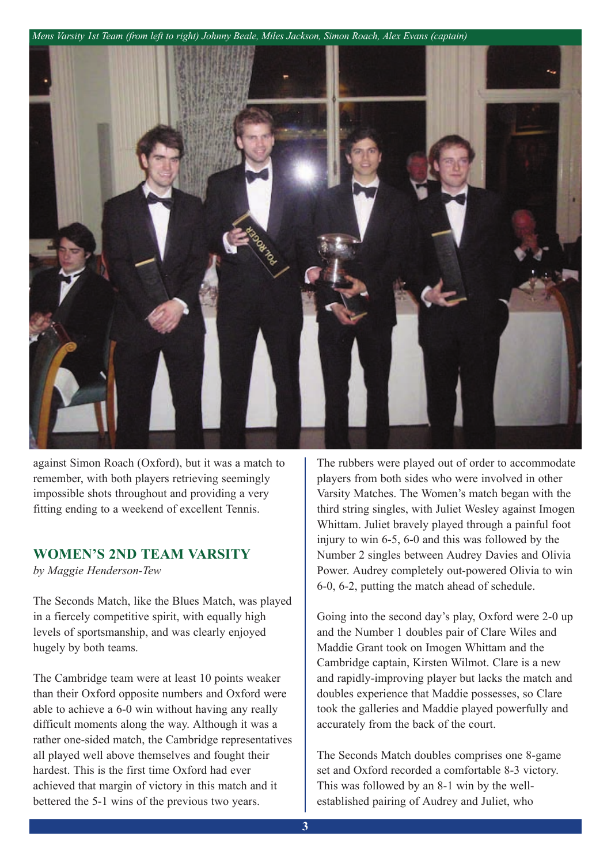*Mens Varsity 1st Team (from left to right) Johnny Beale, Miles Jackson, Simon Roach, Alex Evans (captain)*



against Simon Roach (Oxford), but it was a match to remember, with both players retrieving seemingly impossible shots throughout and providing a very fitting ending to a weekend of excellent Tennis.

#### **WOmen's 2nd team Varsity**

*by Maggie Henderson-Tew*

The Seconds Match, like the Blues Match, was played in a fiercely competitive spirit, with equally high levels of sportsmanship, and was clearly enjoyed hugely by both teams.

The Cambridge team were at least 10 points weaker than their Oxford opposite numbers and Oxford were able to achieve a 6-0 win without having any really difficult moments along the way. Although it was a rather one-sided match, the Cambridge representatives all played well above themselves and fought their hardest. This is the first time Oxford had ever achieved that margin of victory in this match and it bettered the 5-1 wins of the previous two years.

The rubbers were played out of order to accommodate players from both sides who were involved in other Varsity Matches. The Women's match began with the third string singles, with Juliet Wesley against Imogen Whittam. Juliet bravely played through a painful foot injury to win 6-5, 6-0 and this was followed by the Number 2 singles between Audrey Davies and Olivia Power. Audrey completely out-powered Olivia to win 6-0, 6-2, putting the match ahead of schedule.

Going into the second day's play, Oxford were 2-0 up and the Number 1 doubles pair of Clare Wiles and Maddie Grant took on Imogen Whittam and the Cambridge captain, Kirsten Wilmot. Clare is a new and rapidly-improving player but lacks the match and doubles experience that Maddie possesses, so Clare took the galleries and Maddie played powerfully and accurately from the back of the court.

The Seconds Match doubles comprises one 8-game set and Oxford recorded a comfortable 8-3 victory. This was followed by an 8-1 win by the wellestablished pairing of Audrey and Juliet, who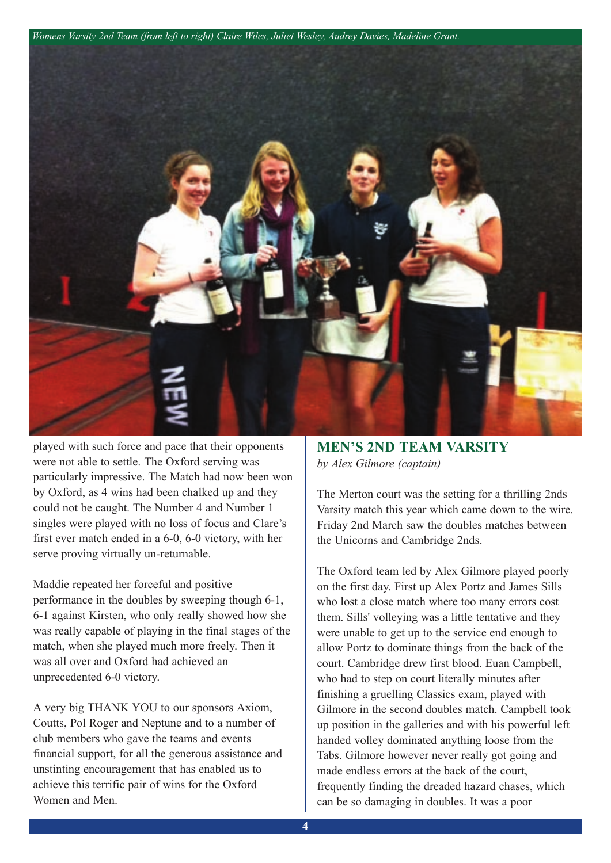*Womens Varsity 2nd Team (from left to right) Claire Wiles, Juliet Wesley, Audrey Davies, Madeline Grant.*



played with such force and pace that their opponents were not able to settle. The Oxford serving was particularly impressive. The Match had now been won by Oxford, as 4 wins had been chalked up and they could not be caught. The Number 4 and Number 1 singles were played with no loss of focus and Clare's first ever match ended in a 6-0, 6-0 victory, with her serve proving virtually un-returnable.

Maddie repeated her forceful and positive performance in the doubles by sweeping though 6-1, 6-1 against Kirsten, who only really showed how she was really capable of playing in the final stages of the match, when she played much more freely. Then it was all over and Oxford had achieved an unprecedented 6-0 victory.

A very big THANK YOU to our sponsors Axiom, Coutts, Pol Roger and Neptune and to a number of club members who gave the teams and events financial support, for all the generous assistance and unstinting encouragement that has enabled us to achieve this terrific pair of wins for the Oxford Women and Men.

**men's 2nd team Varsity** *by Alex Gilmore (captain)*

The Merton court was the setting for a thrilling 2nds Varsity match this year which came down to the wire. Friday 2nd March saw the doubles matches between the Unicorns and Cambridge 2nds.

The Oxford team led by Alex Gilmore played poorly on the first day. First up Alex Portz and James Sills who lost a close match where too many errors cost them. Sills' volleying was a little tentative and they were unable to get up to the service end enough to allow Portz to dominate things from the back of the court. Cambridge drew first blood. Euan Campbell, who had to step on court literally minutes after finishing a gruelling Classics exam, played with Gilmore in the second doubles match. Campbell took up position in the galleries and with his powerful left handed volley dominated anything loose from the Tabs. Gilmore however never really got going and made endless errors at the back of the court, frequently finding the dreaded hazard chases, which can be so damaging in doubles. It was a poor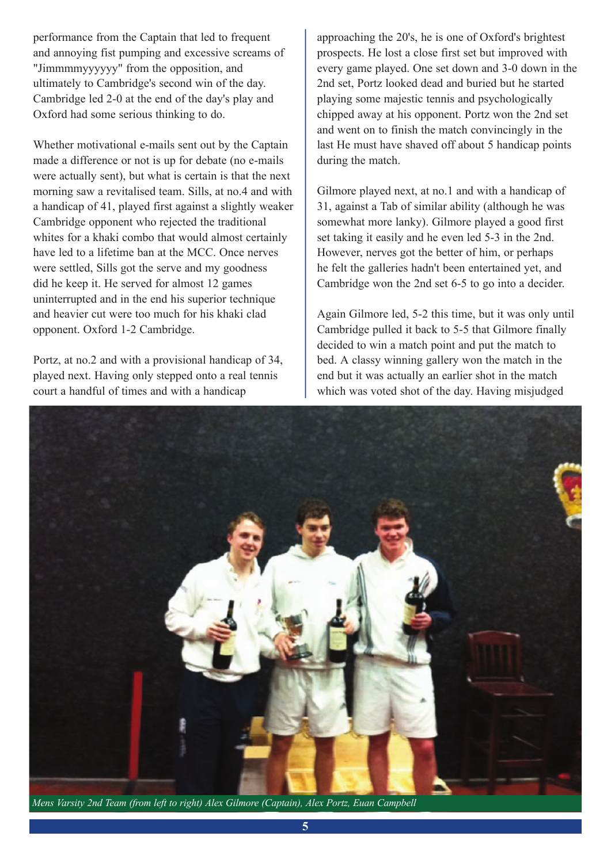performance from the Captain that led to frequent and annoying fist pumping and excessive screams of "Jimmmmyyyyyy" from the opposition, and ultimately to Cambridge's second win of the day. Cambridge led 2-0 at the end of the day's play and Oxford had some serious thinking to do.

Whether motivational e-mails sent out by the Captain made a difference or not is up for debate (no e-mails were actually sent), but what is certain is that the next morning saw a revitalised team. Sills, at no.4 and with a handicap of 41, played first against a slightly weaker Cambridge opponent who rejected the traditional whites for a khaki combo that would almost certainly have led to a lifetime ban at the MCC. Once nerves were settled, Sills got the serve and my goodness did he keep it. He served for almost 12 games uninterrupted and in the end his superior technique and heavier cut were too much for his khaki clad opponent. Oxford 1-2 Cambridge.

Portz, at no.2 and with a provisional handicap of 34, played next. Having only stepped onto a real tennis court a handful of times and with a handicap

approaching the 20's, he is one of Oxford's brightest prospects. He lost a close first set but improved with every game played. One set down and 3-0 down in the 2nd set, Portz looked dead and buried but he started playing some majestic tennis and psychologically chipped away at his opponent. Portz won the 2nd set and went on to finish the match convincingly in the last He must have shaved off about 5 handicap points during the match.

Gilmore played next, at no.1 and with a handicap of 31, against a Tab of similar ability (although he was somewhat more lanky). Gilmore played a good first set taking it easily and he even led 5-3 in the 2nd. However, nerves got the better of him, or perhaps he felt the galleries hadn't been entertained yet, and Cambridge won the 2nd set 6-5 to go into a decider.

Again Gilmore led, 5-2 this time, but it was only until Cambridge pulled it back to 5-5 that Gilmore finally decided to win a match point and put the match to bed. A classy winning gallery won the match in the end but it was actually an earlier shot in the match which was voted shot of the day. Having misjudged

![](_page_4_Picture_6.jpeg)

*Mens Varsity 2nd Team (from left to right) Alex Gilmore (Captain), Alex Portz, Euan Campbell*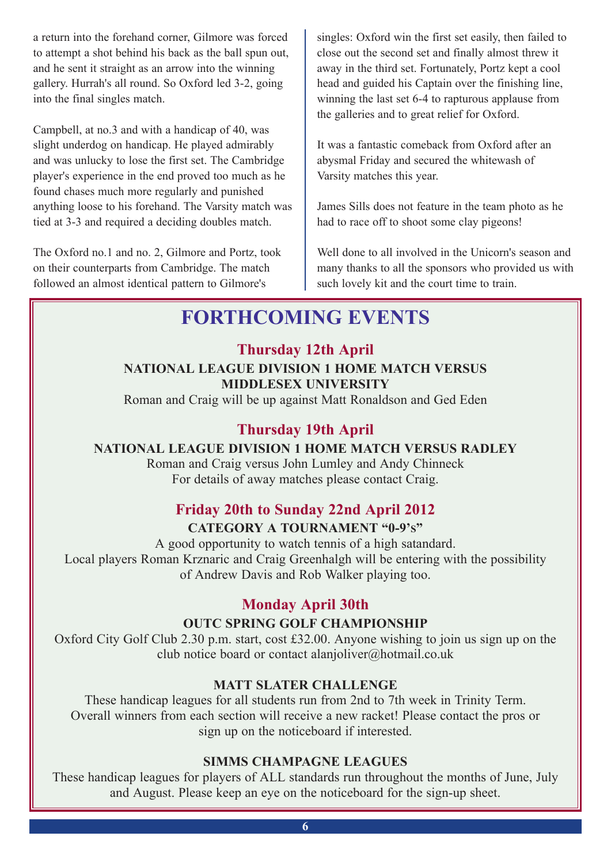a return into the forehand corner, Gilmore was forced to attempt a shot behind his back as the ball spun out, and he sent it straight as an arrow into the winning gallery. Hurrah's all round. So Oxford led 3-2, going into the final singles match.

Campbell, at no.3 and with a handicap of 40, was slight underdog on handicap. He played admirably and was unlucky to lose the first set. The Cambridge player's experience in the end proved too much as he found chases much more regularly and punished anything loose to his forehand. The Varsity match was tied at 3-3 and required a deciding doubles match.

The Oxford no.1 and no. 2, Gilmore and Portz, took on their counterparts from Cambridge. The match followed an almost identical pattern to Gilmore's

singles: Oxford win the first set easily, then failed to close out the second set and finally almost threw it away in the third set. Fortunately, Portz kept a cool head and guided his Captain over the finishing line, winning the last set 6-4 to rapturous applause from the galleries and to great relief for Oxford.

It was a fantastic comeback from Oxford after an abysmal Friday and secured the whitewash of Varsity matches this year.

James Sills does not feature in the team photo as he had to race off to shoot some clay pigeons!

Well done to all involved in the Unicorn's season and many thanks to all the sponsors who provided us with such lovely kit and the court time to train.

#### **FOrtHcOminG eVents**

**thursday 12th april natiOnal leaGUe diVisiOn 1 HOme matcH VersUs middlesex UniVersity**

Roman and Craig will be up against Matt Ronaldson and Ged Eden

#### **thursday 19th april**

#### **natiOnal leaGUe diVisiOn 1 HOme matcH VersUs radley**

Roman and Craig versus John Lumley and Andy Chinneck For details of away matches please contact Craig.

#### **Friday 20th to sunday 22nd april 2012**

#### **cateGOry a tOUrnament "0-9's"**

A good opportunity to watch tennis of a high satandard. Local players Roman Krznaric and Craig Greenhalgh will be entering with the possibility of Andrew Davis and Rob Walker playing too.

#### **monday april 30th**

#### **OUTC SPRING GOLF CHAMPIONSHIP**

Oxford City Golf Club 2.30 p.m. start, cost £32.00. Anyone wishing to join us sign up on the club notice board or contact alanjoliver@hotmail.co.uk

#### **matt slater cHallenGe**

These handicap leagues for all students run from 2nd to 7th week in Trinity Term. Overall winners from each section will receive a new racket! Please contact the pros or sign up on the noticeboard if interested.

#### **simms cHampaGne leaGUes**

These handicap leagues for players of ALL standards run throughout the months of June, July and August. Please keep an eye on the noticeboard for the sign-up sheet.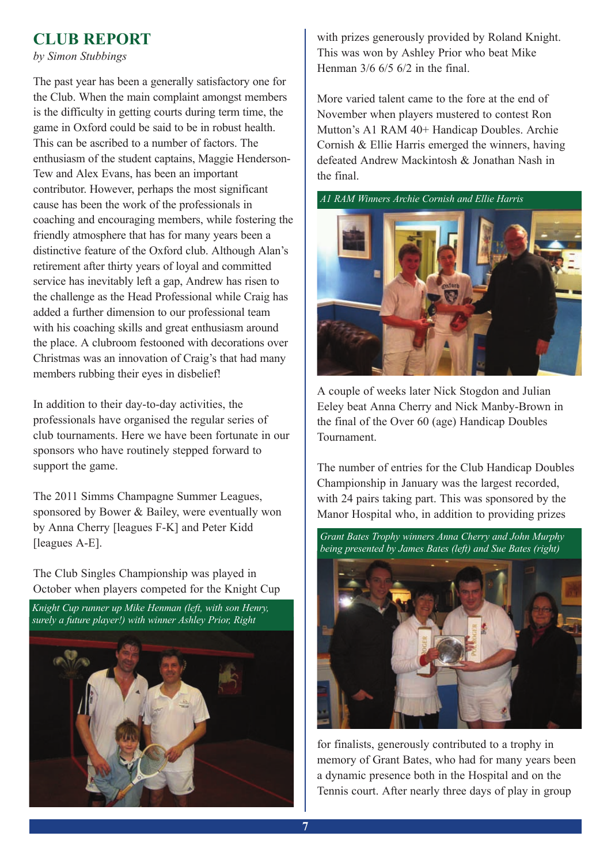#### **clUb repOrt**

*by Simon Stubbings*

The past year has been a generally satisfactory one for the Club. When the main complaint amongst members is the difficulty in getting courts during term time, the game in Oxford could be said to be in robust health. This can be ascribed to a number of factors. The enthusiasm of the student captains, Maggie Henderson-Tew and Alex Evans, has been an important contributor. However, perhaps the most significant cause has been the work of the professionals in coaching and encouraging members, while fostering the friendly atmosphere that has for many years been a distinctive feature of the Oxford club. Although Alan's retirement after thirty years of loyal and committed service has inevitably left a gap, Andrew has risen to the challenge as the Head Professional while Craig has added a further dimension to our professional team with his coaching skills and great enthusiasm around the place. A clubroom festooned with decorations over Christmas was an innovation of Craig's that had many members rubbing their eyes in disbelief!

In addition to their day-to-day activities, the professionals have organised the regular series of club tournaments. Here we have been fortunate in our sponsors who have routinely stepped forward to support the game.

The 2011 Simms Champagne Summer Leagues, sponsored by Bower & Bailey, were eventually won by Anna Cherry [leagues F-K] and Peter Kidd [leagues A-E].

The Club Singles Championship was played in October when players competed for the Knight Cup

![](_page_6_Picture_6.jpeg)

with prizes generously provided by Roland Knight. This was won by Ashley Prior who beat Mike Henman 3/6 6/5 6/2 in the final.

More varied talent came to the fore at the end of November when players mustered to contest Ron Mutton's A1 RAM 40+ Handicap Doubles. Archie Cornish & Ellie Harris emerged the winners, having defeated Andrew Mackintosh & Jonathan Nash in the final.

![](_page_6_Figure_9.jpeg)

![](_page_6_Picture_10.jpeg)

A couple of weeks later Nick Stogdon and Julian Eeley beat Anna Cherry and Nick Manby-Brown in the final of the Over 60 (age) Handicap Doubles Tournament.

The number of entries for the Club Handicap Doubles Championship in January was the largest recorded, with 24 pairs taking part. This was sponsored by the Manor Hospital who, in addition to providing prizes

![](_page_6_Picture_13.jpeg)

for finalists, generously contributed to a trophy in memory of Grant Bates, who had for many years been a dynamic presence both in the Hospital and on the Tennis court. After nearly three days of play in group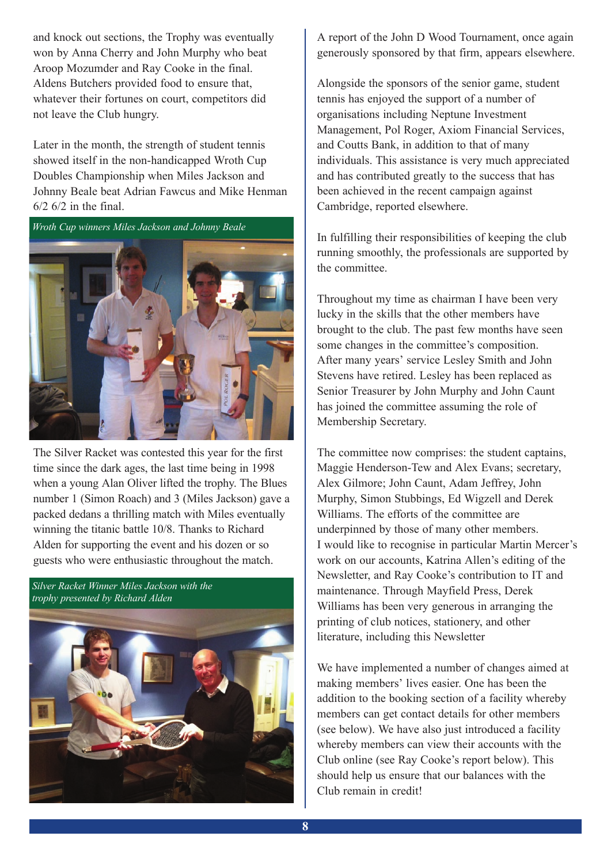and knock out sections, the Trophy was eventually won by Anna Cherry and John Murphy who beat Aroop Mozumder and Ray Cooke in the final. Aldens Butchers provided food to ensure that, whatever their fortunes on court, competitors did not leave the Club hungry.

Later in the month, the strength of student tennis showed itself in the non-handicapped Wroth Cup Doubles Championship when Miles Jackson and Johnny Beale beat Adrian Fawcus and Mike Henman  $6/2$  6/2 in the final.

![](_page_7_Picture_2.jpeg)

The Silver Racket was contested this year for the first time since the dark ages, the last time being in 1998 when a young Alan Oliver lifted the trophy. The Blues number 1 (Simon Roach) and 3 (Miles Jackson) gave a packed dedans a thrilling match with Miles eventually winning the titanic battle 10/8. Thanks to Richard Alden for supporting the event and his dozen or so guests who were enthusiastic throughout the match.

*Silver Racket Winner Miles Jackson with the trophy presented by Richard Alden*

![](_page_7_Picture_5.jpeg)

A report of the John D Wood Tournament, once again generously sponsored by that firm, appears elsewhere.

Alongside the sponsors of the senior game, student tennis has enjoyed the support of a number of organisations including Neptune Investment Management, Pol Roger, Axiom Financial Services, and Coutts Bank, in addition to that of many individuals. This assistance is very much appreciated and has contributed greatly to the success that has been achieved in the recent campaign against Cambridge, reported elsewhere.

In fulfilling their responsibilities of keeping the club running smoothly, the professionals are supported by the committee.

Throughout my time as chairman I have been very lucky in the skills that the other members have brought to the club. The past few months have seen some changes in the committee's composition. After many years' service Lesley Smith and John Stevens have retired. Lesley has been replaced as Senior Treasurer by John Murphy and John Caunt has joined the committee assuming the role of Membership Secretary.

The committee now comprises: the student captains, Maggie Henderson-Tew and Alex Evans; secretary, Alex Gilmore; John Caunt, Adam Jeffrey, John Murphy, Simon Stubbings, Ed Wigzell and Derek Williams. The efforts of the committee are underpinned by those of many other members. I would like to recognise in particular Martin Mercer's work on our accounts, Katrina Allen's editing of the Newsletter, and Ray Cooke's contribution to IT and maintenance. Through Mayfield Press, Derek Williams has been very generous in arranging the printing of club notices, stationery, and other literature, including this Newsletter

We have implemented a number of changes aimed at making members' lives easier. One has been the addition to the booking section of a facility whereby members can get contact details for other members (see below). We have also just introduced a facility whereby members can view their accounts with the Club online (see Ray Cooke's report below). This should help us ensure that our balances with the Club remain in credit!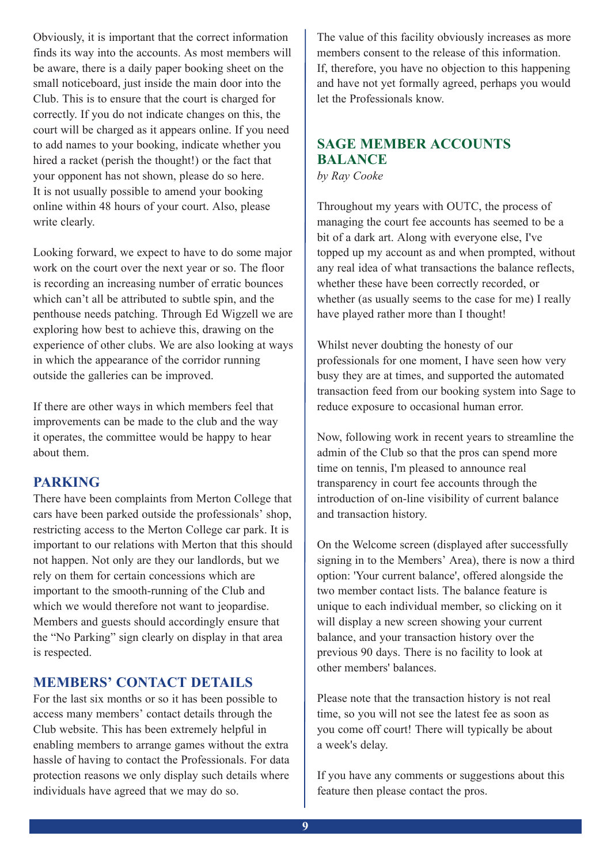Obviously, it is important that the correct information finds its way into the accounts. As most members will be aware, there is a daily paper booking sheet on the small noticeboard, just inside the main door into the Club. This is to ensure that the court is charged for correctly. If you do not indicate changes on this, the court will be charged as it appears online. If you need to add names to your booking, indicate whether you hired a racket (perish the thought!) or the fact that your opponent has not shown, please do so here. It is not usually possible to amend your booking online within 48 hours of your court. Also, please write clearly.

Looking forward, we expect to have to do some major work on the court over the next year or so. The floor is recording an increasing number of erratic bounces which can't all be attributed to subtle spin, and the penthouse needs patching. Through Ed Wigzell we are exploring how best to achieve this, drawing on the experience of other clubs. We are also looking at ways in which the appearance of the corridor running outside the galleries can be improved.

If there are other ways in which members feel that improvements can be made to the club and the way it operates, the committee would be happy to hear about them.

#### **parKinG**

There have been complaints from Merton College that cars have been parked outside the professionals' shop, restricting access to the Merton College car park. It is important to our relations with Merton that this should not happen. Not only are they our landlords, but we rely on them for certain concessions which are important to the smooth-running of the Club and which we would therefore not want to jeopardise. Members and guests should accordingly ensure that the "No Parking" sign clearly on display in that area is respected.

#### **MEMBERS' CONTACT DETAILS**

For the last six months or so it has been possible to access many members' contact details through the Club website. This has been extremely helpful in enabling members to arrange games without the extra hassle of having to contact the Professionals. For data protection reasons we only display such details where individuals have agreed that we may do so.

The value of this facility obviously increases as more members consent to the release of this information. If, therefore, you have no objection to this happening and have not yet formally agreed, perhaps you would let the Professionals know.

#### **saGe member accOUnts balance**

*by Ray Cooke*

Throughout my years with OUTC, the process of managing the court fee accounts has seemed to be a bit of a dark art. Along with everyone else, I've topped up my account as and when prompted, without any real idea of what transactions the balance reflects, whether these have been correctly recorded, or whether (as usually seems to the case for me) I really have played rather more than I thought!

Whilst never doubting the honesty of our professionals for one moment, I have seen how very busy they are at times, and supported the automated transaction feed from our booking system into Sage to reduce exposure to occasional human error.

Now, following work in recent years to streamline the admin of the Club so that the pros can spend more time on tennis, I'm pleased to announce real transparency in court fee accounts through the introduction of on-line visibility of current balance and transaction history.

On the Welcome screen (displayed after successfully signing in to the Members' Area), there is now a third option: 'Your current balance', offered alongside the two member contact lists. The balance feature is unique to each individual member, so clicking on it will display a new screen showing your current balance, and your transaction history over the previous 90 days. There is no facility to look at other members' balances.

Please note that the transaction history is not real time, so you will not see the latest fee as soon as you come off court! There will typically be about a week's delay.

If you have any comments or suggestions about this feature then please contact the pros.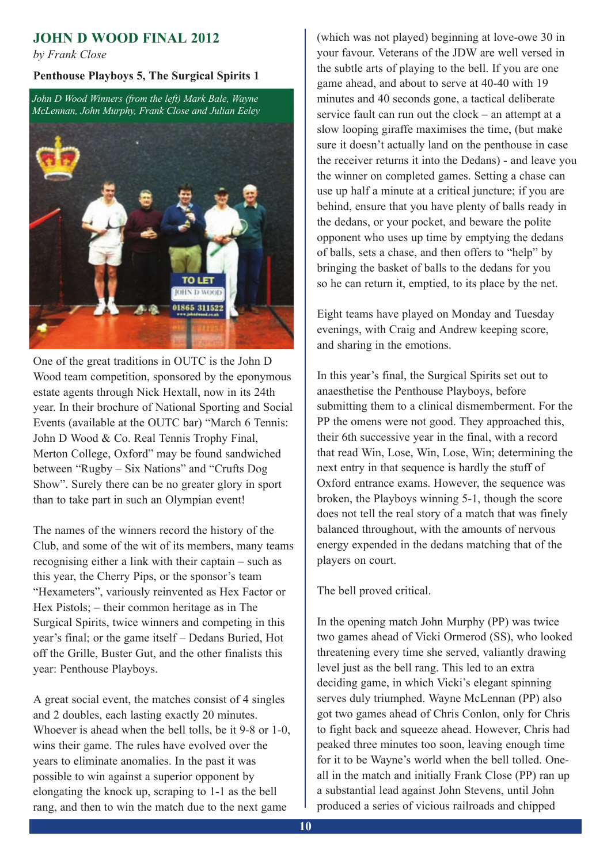#### **JOHn d WOOd Final 2012**

*by Frank Close*

#### **penthouse playboys 5, the surgical spirits 1**

*John D Wood Winners (from the left) Mark Bale, Wayne McLennan, John Murphy, Frank Close and Julian Eeley*

![](_page_9_Picture_4.jpeg)

One of the great traditions in OUTC is the John D Wood team competition, sponsored by the eponymous estate agents through Nick Hextall, now in its 24th year. In their brochure of National Sporting and Social Events (available at the OUTC bar) "March 6 Tennis: John D Wood & Co. Real Tennis Trophy Final, Merton College, Oxford" may be found sandwiched between "Rugby – Six Nations" and "Crufts Dog Show". Surely there can be no greater glory in sport than to take part in such an Olympian event!

The names of the winners record the history of the Club, and some of the wit of its members, many teams recognising either a link with their captain – such as this year, the Cherry Pips, or the sponsor's team "Hexameters", variously reinvented as Hex Factor or Hex Pistols; – their common heritage as in The Surgical Spirits, twice winners and competing in this year's final; or the game itself – Dedans Buried, Hot off the Grille, Buster Gut, and the other finalists this year: Penthouse Playboys.

A great social event, the matches consist of 4 singles and 2 doubles, each lasting exactly 20 minutes. Whoever is ahead when the bell tolls, be it 9-8 or 1-0, wins their game. The rules have evolved over the years to eliminate anomalies. In the past it was possible to win against a superior opponent by elongating the knock up, scraping to 1-1 as the bell rang, and then to win the match due to the next game

(which was not played) beginning at love-owe 30 in your favour. Veterans of the JDW are well versed in the subtle arts of playing to the bell. If you are one game ahead, and about to serve at 40-40 with 19 minutes and 40 seconds gone, a tactical deliberate service fault can run out the clock – an attempt at a slow looping giraffe maximises the time, (but make sure it doesn't actually land on the penthouse in case the receiver returns it into the Dedans) - and leave you the winner on completed games. Setting a chase can use up half a minute at a critical juncture; if you are behind, ensure that you have plenty of balls ready in the dedans, or your pocket, and beware the polite opponent who uses up time by emptying the dedans of balls, sets a chase, and then offers to "help" by bringing the basket of balls to the dedans for you so he can return it, emptied, to its place by the net.

Eight teams have played on Monday and Tuesday evenings, with Craig and Andrew keeping score, and sharing in the emotions.

In this year's final, the Surgical Spirits set out to anaesthetise the Penthouse Playboys, before submitting them to a clinical dismemberment. For the PP the omens were not good. They approached this, their 6th successive year in the final, with a record that read Win, Lose, Win, Lose, Win; determining the next entry in that sequence is hardly the stuff of Oxford entrance exams. However, the sequence was broken, the Playboys winning 5-1, though the score does not tell the real story of a match that was finely balanced throughout, with the amounts of nervous energy expended in the dedans matching that of the players on court.

The bell proved critical.

In the opening match John Murphy (PP) was twice two games ahead of Vicki Ormerod (SS), who looked threatening every time she served, valiantly drawing level just as the bell rang. This led to an extra deciding game, in which Vicki's elegant spinning serves duly triumphed. Wayne McLennan (PP) also got two games ahead of Chris Conlon, only for Chris to fight back and squeeze ahead. However, Chris had peaked three minutes too soon, leaving enough time for it to be Wayne's world when the bell tolled. Oneall in the match and initially Frank Close (PP) ran up a substantial lead against John Stevens, until John produced a series of vicious railroads and chipped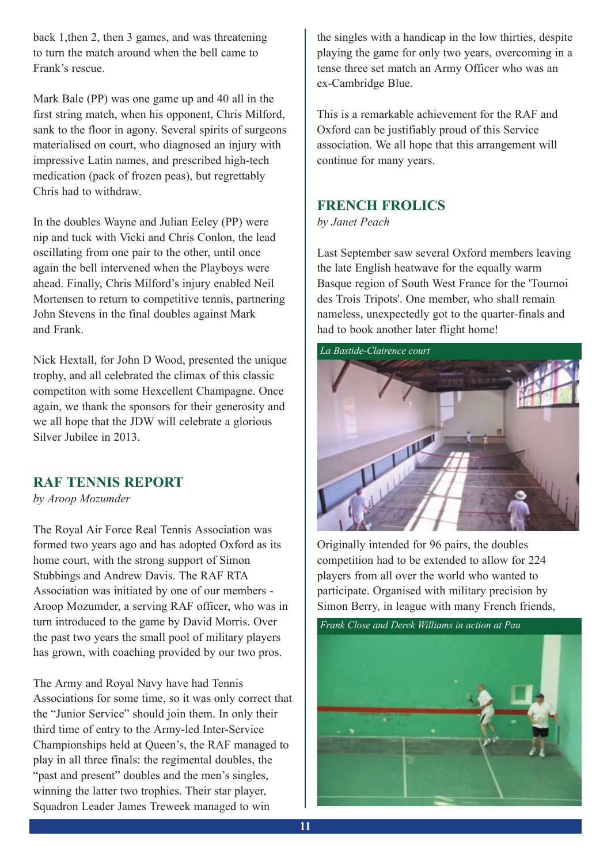back 1,then 2, then 3 games, and was threatening to turn the match around when the bell came to Frank's rescue.

Mark Bale (PP) was one game up and 40 all in the first string match, when his opponent, Chris Milford, sank to the floor in agony. Several spirits of surgeons materialised on court, who diagnosed an injury with impressive Latin names, and prescribed high-tech medication (pack of frozen peas), but regrettably Chris had to withdraw.

In the doubles Wayne and Julian Eeley (PP) were nip and tuck with Vicki and Chris Conlon, the lead oscillating from one pair to the other, until once again the bell intervened when the Playboys were ahead. Finally, Chris Milford's injury enabled Neil Mortensen to return to competitive tennis, partnering John Stevens in the final doubles against Mark and Frank.

Nick Hextall, for John D Wood, presented the unique trophy, and all celebrated the climax of this classic competiton with some Hexcellent Champagne. Once again, we thank the sponsors for their generosity and we all hope that the JDW will celebrate a glorious Silver Jubilee in 2013.

#### **raF tennis repOrt**

*by Aroop Mozumder*

The Royal Air Force Real Tennis Association was formed two years ago and has adopted Oxford as its home court, with the strong support of Simon Stubbings and Andrew Davis. The RAF RTA Association was initiated by one of our members - Aroop Mozumder, a serving RAF officer, who was in turn introduced to the game by David Morris. Over the past two years the small pool of military players has grown, with coaching provided by our two pros.

The Army and Royal Navy have had Tennis Associations for some time, so it was only correct that the "Junior Service" should join them. In only their third time of entry to the Army-led Inter-Service Championships held at Queen's, the RAF managed to play in all three finals: the regimental doubles, the "past and present" doubles and the men's singles, winning the latter two trophies. Their star player, Squadron Leader James Treweek managed to win

the singles with a handicap in the low thirties, despite playing the game for only two years, overcoming in a tense three set match an Army Officer who was an ex-Cambridge Blue.

This is a remarkable achievement for the RAF and Oxford can be justifiably proud of this Service association. We all hope that this arrangement will continue for many years.

#### **FrencH FrOlics**

*by Janet Peach*

Last September saw several Oxford members leaving the late English heatwave for the equally warm Basque region of South West France for the 'Tournoi des Trois Tripots'. One member, who shall remain nameless, unexpectedly got to the quarter-finals and had to book another later flight home!

![](_page_10_Picture_13.jpeg)

Originally intended for 96 pairs, the doubles competition had to be extended to allow for 224 players from all over the world who wanted to participate. Organised with military precision by Simon Berry, in league with many French friends,

![](_page_10_Picture_15.jpeg)